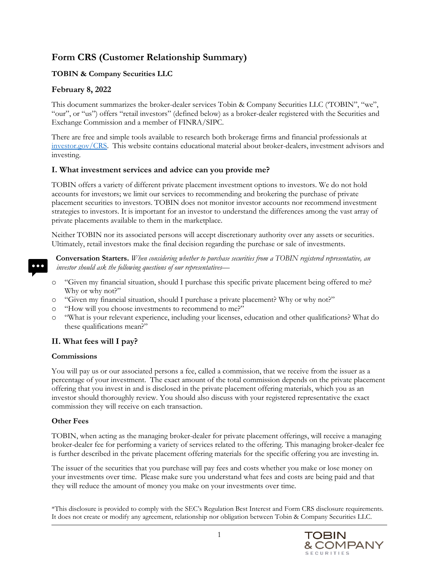# **Form CRS (Customer Relationship Summary)**

## **TOBIN & Company Securities LLC**

## **February 8, 2022**

This document summarizes the broker-dealer services Tobin & Company Securities LLC ('TOBIN", "we", "our", or "us") offers "retail investors" (defined below) as a broker-dealer registered with the Securities and Exchange Commission and a member of FINRA/SIPC.

There are free and simple tools available to research both brokerage firms and financial professionals at [investor.gov/CRS.](https://www.investor.gov/CRS) This website contains educational material about broker-dealers, investment advisors and investing.

## **I. What investment services and advice can you provide me?**

TOBIN offers a variety of different private placement investment options to investors. We do not hold accounts for investors; we limit our services to recommending and brokering the purchase of private placement securities to investors. TOBIN does not monitor investor accounts nor recommend investment strategies to investors. It is important for an investor to understand the differences among the vast array of private placements available to them in the marketplace.

Neither TOBIN nor its associated persons will accept discretionary authority over any assets or securities. Ultimately, retail investors make the final decision regarding the purchase or sale of investments.

**Conversation Starters.** *When considering whether to purchase securities from a TOBIN registered representative, an investor should ask the following questions of our representatives—*

- o "Given my financial situation, should I purchase this specific private placement being offered to me? Why or why not?"
- o "Given my financial situation, should I purchase a private placement? Why or why not?"
- o "How will you choose investments to recommend to me?"
- o "What is your relevant experience, including your licenses, education and other qualifications? What do these qualifications mean?"

## **II. What fees will I pay?**

## **Commissions**

You will pay us or our associated persons a fee, called a commission, that we receive from the issuer as a percentage of your investment. The exact amount of the total commission depends on the private placement offering that you invest in and is disclosed in the private placement offering materials, which you as an investor should thoroughly review. You should also discuss with your registered representative the exact commission they will receive on each transaction.

## **Other Fees**

TOBIN, when acting as the managing broker-dealer for private placement offerings, will receive a managing broker-dealer fee for performing a variety of services related to the offering. This managing broker-dealer fee is further described in the private placement offering materials for the specific offering you are investing in.

The issuer of the securities that you purchase will pay fees and costs whether you make or lose money on your investments over time. Please make sure you understand what fees and costs are being paid and that they will reduce the amount of money you make on your investments over time.

\*This disclosure is provided to comply with the SEC's Regulation Best Interest and Form CRS disclosure requirements. It does not create or modify any agreement, relationship nor obligation between Tobin & Company Securities LLC.